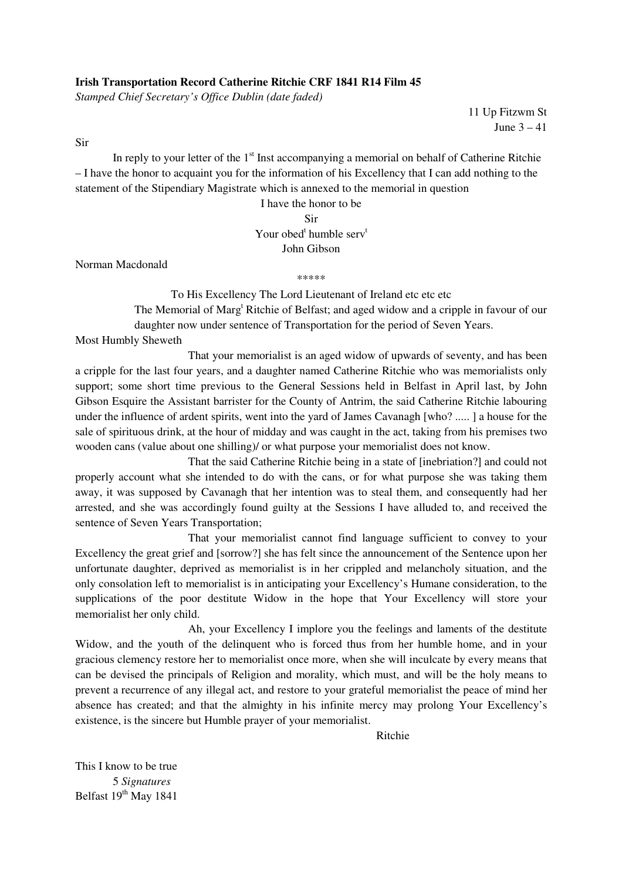## **Irish Transportation Record Catherine Ritchie CRF 1841 R14 Film 45**

*Stamped Chief Secretary's Office Dublin (date faded)* 

11 Up Fitzwm St June 3 – 41

Sir

In reply to your letter of the  $1<sup>st</sup>$  Inst accompanying a memorial on behalf of Catherine Ritchie – I have the honor to acquaint you for the information of his Excellency that I can add nothing to the statement of the Stipendiary Magistrate which is annexed to the memorial in question

> I have the honor to be Sir Your obed<sup>t</sup> humble serv<sup>t</sup> John Gibson

Norman Macdonald

\*\*\*\*\*

To His Excellency The Lord Lieutenant of Ireland etc etc etc The Memorial of Marg<sup>t</sup> Ritchie of Belfast; and aged widow and a cripple in favour of our daughter now under sentence of Transportation for the period of Seven Years.

Most Humbly Sheweth

 That your memorialist is an aged widow of upwards of seventy, and has been a cripple for the last four years, and a daughter named Catherine Ritchie who was memorialists only support; some short time previous to the General Sessions held in Belfast in April last, by John Gibson Esquire the Assistant barrister for the County of Antrim, the said Catherine Ritchie labouring under the influence of ardent spirits, went into the yard of James Cavanagh [who? ..... ] a house for the sale of spirituous drink, at the hour of midday and was caught in the act, taking from his premises two wooden cans (value about one shilling)/ or what purpose your memorialist does not know.

 That the said Catherine Ritchie being in a state of [inebriation?] and could not properly account what she intended to do with the cans, or for what purpose she was taking them away, it was supposed by Cavanagh that her intention was to steal them, and consequently had her arrested, and she was accordingly found guilty at the Sessions I have alluded to, and received the sentence of Seven Years Transportation;

 That your memorialist cannot find language sufficient to convey to your Excellency the great grief and [sorrow?] she has felt since the announcement of the Sentence upon her unfortunate daughter, deprived as memorialist is in her crippled and melancholy situation, and the only consolation left to memorialist is in anticipating your Excellency's Humane consideration, to the supplications of the poor destitute Widow in the hope that Your Excellency will store your memorialist her only child.

 Ah, your Excellency I implore you the feelings and laments of the destitute Widow, and the youth of the delinquent who is forced thus from her humble home, and in your gracious clemency restore her to memorialist once more, when she will inculcate by every means that can be devised the principals of Religion and morality, which must, and will be the holy means to prevent a recurrence of any illegal act, and restore to your grateful memorialist the peace of mind her absence has created; and that the almighty in his infinite mercy may prolong Your Excellency's existence, is the sincere but Humble prayer of your memorialist.

Ritchie

This I know to be true 5 *Signatures*  Belfast 19<sup>th</sup> May 1841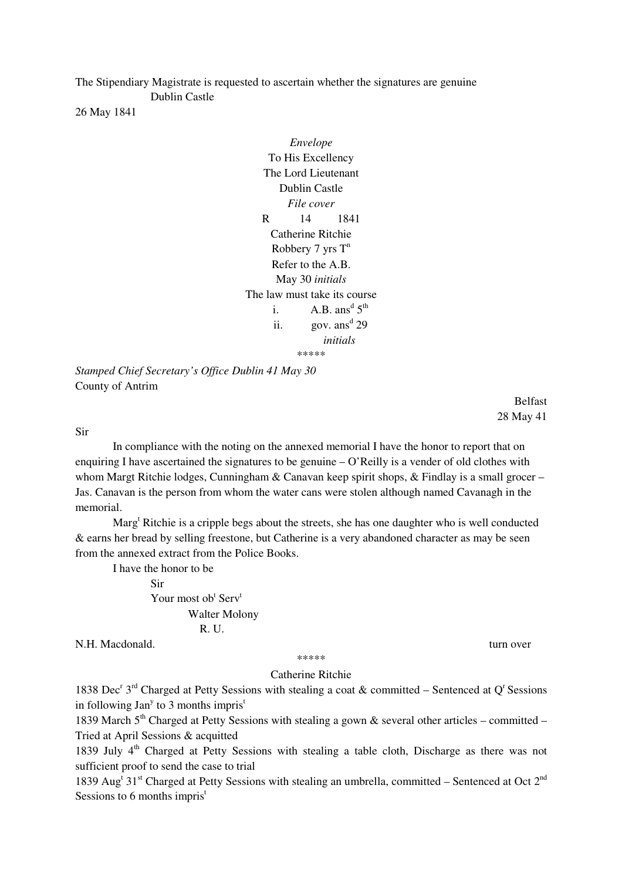The Stipendiary Magistrate is requested to ascertain whether the signatures are genuine Dublin Castle

26 May 1841

*Envelope*  To His Excellency The Lord Lieutenant Dublin Castle *File cover*  R 14 1841 Catherine Ritchie Robbery  $7 \text{ yrs } T^n$ Refer to the A.B. May 30 *initials*  The law must take its course i. A.B.  $ans^d 5^{th}$ ii. gov.  $ans^d 29$ *initials*  \*\*\*\*\*

*Stamped Chief Secretary's Office Dublin 41 May 30*  County of Antrim

> Belfast 28 May 41

Sir

 In compliance with the noting on the annexed memorial I have the honor to report that on enquiring I have ascertained the signatures to be genuine  $-Q$  Reilly is a vender of old clothes with whom Margt Ritchie lodges, Cunningham & Canavan keep spirit shops, & Findlay is a small grocer – Jas. Canavan is the person from whom the water cans were stolen although named Cavanagh in the memorial.

Marg<sup>t</sup> Ritchie is a cripple begs about the streets, she has one daughter who is well conducted & earns her bread by selling freestone, but Catherine is a very abandoned character as may be seen from the annexed extract from the Police Books.

I have the honor to be

 Sir Your most ob $^t$  Serv<sup>t</sup> Walter Molony R. U.

N.H. Macdonald. turn over

\*\*\*\*\*

## Catherine Ritchie

1838 Dec<sup>r</sup> 3<sup>rd</sup> Charged at Petty Sessions with stealing a coat & committed – Sentenced at Q<sup>r</sup> Sessions in following Jan<sup>y</sup> to 3 months impris<sup>t</sup>

1839 March  $5<sup>th</sup>$  Charged at Petty Sessions with stealing a gown & several other articles – committed – Tried at April Sessions & acquitted

1839 July  $4<sup>th</sup>$  Charged at Petty Sessions with stealing a table cloth, Discharge as there was not sufficient proof to send the case to trial

1839 Aug<sup>t</sup> 31<sup>st</sup> Charged at Petty Sessions with stealing an umbrella, committed – Sentenced at Oct 2<sup>nd</sup> Sessions to 6 months impris<sup>t</sup>